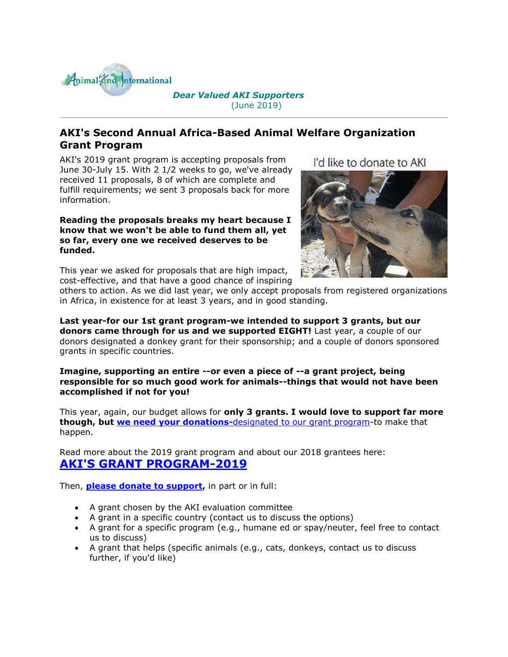

## *Dear Valued AKI Supporters* (June 2019)

# **AKI's Second Annual Africa-Based Animal Welfare Organization Grant Program**

AKI's 2019 grant program is accepting proposals from June 30-July 15. With 2 1/2 weeks to go, we've already received 11 proposals, 8 of which are complete and fulfill requirements; we sent 3 proposals back for more information.

#### **Reading the proposals breaks my heart because I know that we won't be able to fund them all, yet so far, every one we received deserves to be funded.**

This year we asked for proposals that are high impact, cost-effective, and that have a good chance of inspiring I'd like to donate to AKI



others to action. As we did last year, we only accept proposals from registered organizations in Africa, in existence for at least 3 years, and in good standing.

**Last year-for our 1st grant program-we intended to support 3 grants, but our donors came through for us and we supported EIGHT!** Last year, a couple of our donors designated a donkey grant for their sponsorship; and a couple of donors sponsored grants in specific countries.

**Imagine, supporting an entire --or even a piece of --a grant project, being responsible for so much good work for animals--things that would not have been accomplished if not for you!**

This year, again, our budget allows for **only 3 grants. I would love to support far more though, but [we need your donations-](http://cts.vresp.com/c/?AnimalKindInternatio/ac902234d2/4d75da415c/b9897618e6)**[designated to our grant program-](http://cts.vresp.com/c/?AnimalKindInternatio/ac902234d2/4d75da415c/b9897618e6)to make that happen.

Read more about the 2019 grant program and about our 2018 grantees here: **[AKI'S GRANT PROGRAM-2019](http://cts.vresp.com/c/?AnimalKindInternatio/ac902234d2/4d75da415c/9d4bd58d64)**

Then, **[please donate to support,](http://cts.vresp.com/c/?AnimalKindInternatio/ac902234d2/4d75da415c/7817887246)** in part or in full:

- A grant chosen by the AKI evaluation committee
- A grant in a specific country (contact us to discuss the options)
- A grant for a specific program (e.g., humane ed or spay/neuter, feel free to contact us to discuss)
- A grant that helps (specific animals (e.g., cats, donkeys, contact us to discuss further, if you'd like)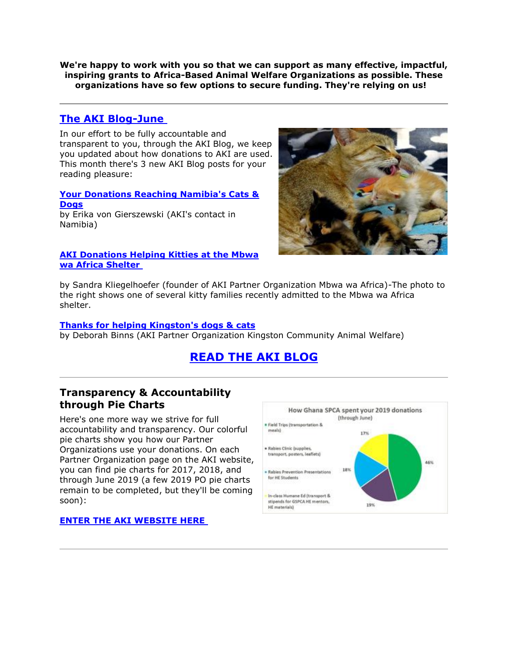**We're happy to work with you so that we can support as many effective, impactful, inspiring grants to Africa-Based Animal Welfare Organizations as possible. These organizations have so few options to secure funding. They're relying on us!** 

## **[The AKI Blog-June](http://cts.vresp.com/c/?AnimalKindInternatio/ac902234d2/4d75da415c/4de34a2a63)**

In our effort to be fully accountable and transparent to you, through the AKI Blog, we keep you updated about how donations to AKI are used. This month there's 3 new AKI Blog posts for your reading pleasure:

#### **[Your Donations Reaching Namibia's Cats &](http://cts.vresp.com/c/?AnimalKindInternatio/ac902234d2/4d75da415c/355eca8b68)  [Dogs](http://cts.vresp.com/c/?AnimalKindInternatio/ac902234d2/4d75da415c/355eca8b68)** by Erika von Gierszewski (AKI's contact in Namibia)

#### **[AKI Donations Helping Kitties at the Mbwa](http://cts.vresp.com/c/?AnimalKindInternatio/ac902234d2/4d75da415c/028b66f230)  [wa Africa Shelter](http://cts.vresp.com/c/?AnimalKindInternatio/ac902234d2/4d75da415c/028b66f230)**



by Sandra Kliegelhoefer (founder of AKI Partner Organization Mbwa wa Africa)-The photo to the right shows one of several kitty families recently admitted to the Mbwa wa Africa shelter.

#### **[Thanks for helping Kingston's dogs & cats](http://cts.vresp.com/c/?AnimalKindInternatio/ac902234d2/4d75da415c/74ccc30517)**

by Deborah Binns (AKI Partner Organization Kingston Community Animal Welfare)

# **[READ THE AKI BLOG](http://cts.vresp.com/c/?AnimalKindInternatio/ac902234d2/4d75da415c/b75e4803ad)**

## **Transparency & Accountability through Pie Charts**

Here's one more way we strive for full accountability and transparency. Our colorful pie charts show you how our Partner Organizations use your donations. On each Partner Organization page on the AKI website, you can find pie charts for 2017, 2018, and through June 2019 (a few 2019 PO pie charts remain to be completed, but they'll be coming soon):

## **[ENTER THE AKI WEBSITE HERE](http://cts.vresp.com/c/?AnimalKindInternatio/ac902234d2/4d75da415c/eff0000677)**